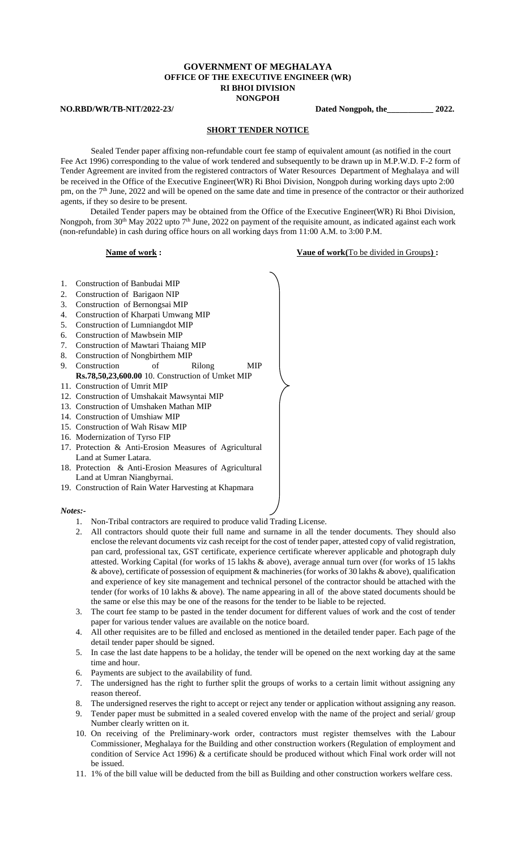## **GOVERNMENT OF MEGHALAYA OFFICE OF THE EXECUTIVE ENGINEER (WR) RI BHOI DIVISION NONGPOH**

**NO.RBD/WR/TB-NIT/2022-23/ Dated Nongpoh, the\_\_\_\_\_\_\_\_\_\_\_ 2022.** 

### **SHORT TENDER NOTICE**

Sealed Tender paper affixing non-refundable court fee stamp of equivalent amount (as notified in the court Fee Act 1996) corresponding to the value of work tendered and subsequently to be drawn up in M.P.W.D. F-2 form of Tender Agreement are invited from the registered contractors of Water Resources Department of Meghalaya and will be received in the Office of the Executive Engineer(WR) Ri Bhoi Division, Nongpoh during working days upto 2:00 pm, on the 7<sup>th</sup> June, 2022 and will be opened on the same date and time in presence of the contractor or their authorized agents, if they so desire to be present.

Detailed Tender papers may be obtained from the Office of the Executive Engineer(WR) Ri Bhoi Division, Nongpoh, from 30<sup>th</sup> May 2022 upto 7<sup>th</sup> June, 2022 on payment of the requisite amount, as indicated against each work (non-refundable) in cash during office hours on all working days from 11:00 A.M. to 3:00 P.M.

# **Name of work : Vaue of work(To be divided in Groups) :**

- 1. Construction of Banbudai MIP
- 2. Construction of Barigaon NIP
- 3. Construction of Bernongsai MIP
- 4. Construction of Kharpati Umwang MIP
- 5. Construction of Lumniangdot MIP
- 6. Construction of Mawbsein MIP
- 7. Construction of Mawtari Thaiang MIP
- 8. Construction of Nongbirthem MIP
- 9. Construction of Rilong MIP **Rs.78,50,23,600.00** 10. Construction of Umket MIP
- 11. Construction of Umrit MIP
- 12. Construction of Umshakait Mawsyntai MIP
- 13. Construction of Umshaken Mathan MIP
- 14. Construction of Umshiaw MIP
- 15. Construction of Wah Risaw MIP
- 16. Modernization of Tyrso FIP
- 17. Protection & Anti-Erosion Measures of Agricultural Land at Sumer Latara.
- 18. Protection & Anti-Erosion Measures of Agricultural Land at Umran Niangbyrnai.
- 19. Construction of Rain Water Harvesting at Khapmara

### *Notes:-*

- 1. Non-Tribal contractors are required to produce valid Trading License.
- 2. All contractors should quote their full name and surname in all the tender documents. They should also enclose the relevant documents viz cash receipt for the cost of tender paper, attested copy of valid registration, pan card, professional tax, GST certificate, experience certificate wherever applicable and photograph duly attested. Working Capital (for works of 15 lakhs & above), average annual turn over (for works of 15 lakhs & above), certificate of possession of equipment & machineries (for works of 30 lakhs & above), qualification and experience of key site management and technical personel of the contractor should be attached with the tender (for works of 10 lakhs & above). The name appearing in all of the above stated documents should be the same or else this may be one of the reasons for the tender to be liable to be rejected.
- 3. The court fee stamp to be pasted in the tender document for different values of work and the cost of tender paper for various tender values are available on the notice board.
- 4. All other requisites are to be filled and enclosed as mentioned in the detailed tender paper. Each page of the detail tender paper should be signed.
- 5. In case the last date happens to be a holiday, the tender will be opened on the next working day at the same time and hour.
- 6. Payments are subject to the availability of fund.
- 7. The undersigned has the right to further split the groups of works to a certain limit without assigning any reason thereof.
- 8. The undersigned reserves the right to accept or reject any tender or application without assigning any reason.
- 9. Tender paper must be submitted in a sealed covered envelop with the name of the project and serial/ group Number clearly written on it.
- 10. On receiving of the Preliminary-work order, contractors must register themselves with the Labour Commissioner, Meghalaya for the Building and other construction workers (Regulation of employment and condition of Service Act 1996) & a certificate should be produced without which Final work order will not be issued.
- 11. 1% of the bill value will be deducted from the bill as Building and other construction workers welfare cess.